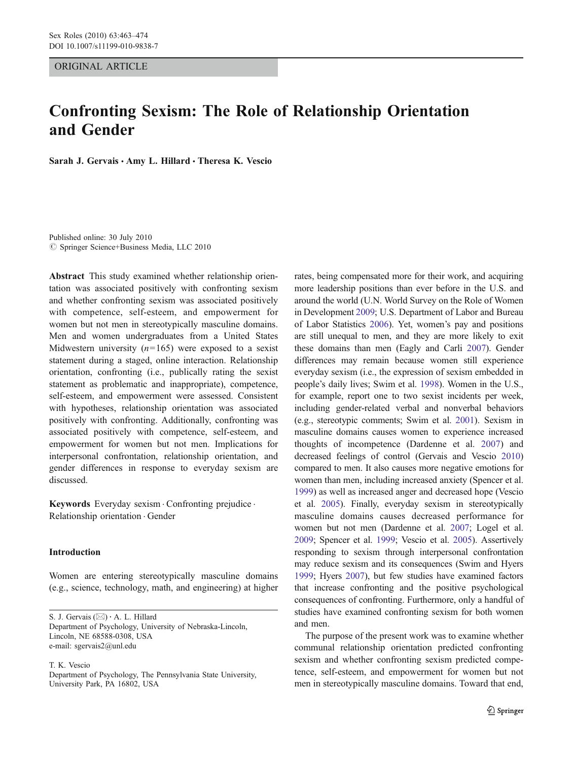ORIGINAL ARTICLE

# Confronting Sexism: The Role of Relationship Orientation and Gender

Sarah J. Gervais · Amy L. Hillard · Theresa K. Vescio

Published online: 30 July 2010  $©$  Springer Science+Business Media, LLC 2010

Abstract This study examined whether relationship orientation was associated positively with confronting sexism and whether confronting sexism was associated positively with competence, self-esteem, and empowerment for women but not men in stereotypically masculine domains. Men and women undergraduates from a United States Midwestern university  $(n=165)$  were exposed to a sexist statement during a staged, online interaction. Relationship orientation, confronting (i.e., publically rating the sexist statement as problematic and inappropriate), competence, self-esteem, and empowerment were assessed. Consistent with hypotheses, relationship orientation was associated positively with confronting. Additionally, confronting was associated positively with competence, self-esteem, and empowerment for women but not men. Implications for interpersonal confrontation, relationship orientation, and gender differences in response to everyday sexism are discussed.

Keywords Everyday sexism . Confronting prejudice . Relationship orientation . Gender

# Introduction

Women are entering stereotypically masculine domains (e.g., science, technology, math, and engineering) at higher

S. J. Gervais  $(\boxtimes) \cdot A$ . L. Hillard Department of Psychology, University of Nebraska-Lincoln, Lincoln, NE 68588-0308, USA e-mail: sgervais2@unl.edu

T. K. Vescio

Department of Psychology, The Pennsylvania State University, University Park, PA 16802, USA

rates, being compensated more for their work, and acquiring more leadership positions than ever before in the U.S. and around the world (U.N. World Survey on the Role of Women in Development [2009;](#page-11-0) U.S. Department of Labor and Bureau of Labor Statistics [2006](#page-11-0)). Yet, women's pay and positions are still unequal to men, and they are more likely to exit these domains than men (Eagly and Carli [2007](#page-10-0)). Gender differences may remain because women still experience everyday sexism (i.e., the expression of sexism embedded in people's daily lives; Swim et al. [1998](#page-11-0)). Women in the U.S., for example, report one to two sexist incidents per week, including gender-related verbal and nonverbal behaviors (e.g., stereotypic comments; Swim et al. [2001](#page-11-0)). Sexism in masculine domains causes women to experience increased thoughts of incompetence (Dardenne et al. [2007](#page-10-0)) and decreased feelings of control (Gervais and Vescio [2010](#page-10-0)) compared to men. It also causes more negative emotions for women than men, including increased anxiety (Spencer et al. [1999\)](#page-11-0) as well as increased anger and decreased hope (Vescio et al. [2005\)](#page-11-0). Finally, everyday sexism in stereotypically masculine domains causes decreased performance for women but not men (Dardenne et al. [2007;](#page-10-0) Logel et al. [2009;](#page-10-0) Spencer et al. [1999;](#page-11-0) Vescio et al. [2005\)](#page-11-0). Assertively responding to sexism through interpersonal confrontation may reduce sexism and its consequences (Swim and Hyers [1999;](#page-11-0) Hyers [2007\)](#page-10-0), but few studies have examined factors that increase confronting and the positive psychological consequences of confronting. Furthermore, only a handful of studies have examined confronting sexism for both women and men.

The purpose of the present work was to examine whether communal relationship orientation predicted confronting sexism and whether confronting sexism predicted competence, self-esteem, and empowerment for women but not men in stereotypically masculine domains. Toward that end,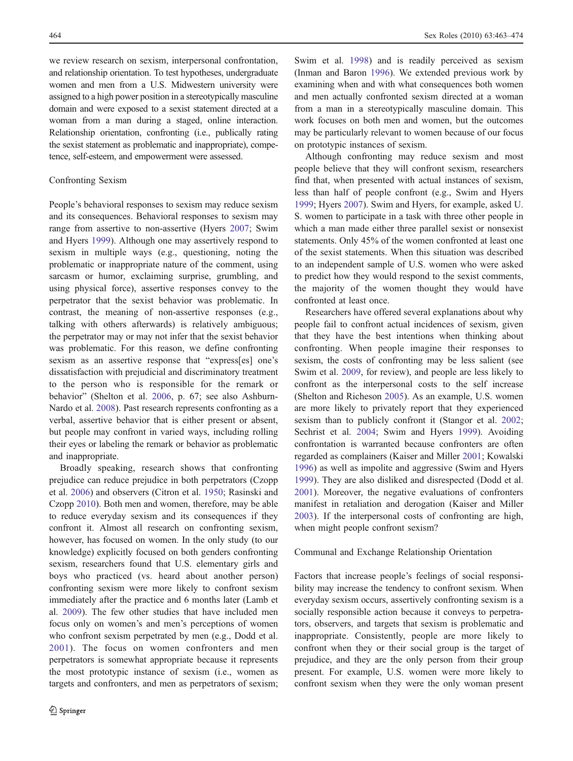we review research on sexism, interpersonal confrontation, and relationship orientation. To test hypotheses, undergraduate women and men from a U.S. Midwestern university were assigned to a high power position in a stereotypically masculine domain and were exposed to a sexist statement directed at a woman from a man during a staged, online interaction. Relationship orientation, confronting (i.e., publically rating the sexist statement as problematic and inappropriate), competence, self-esteem, and empowerment were assessed.

#### Confronting Sexism

People's behavioral responses to sexism may reduce sexism and its consequences. Behavioral responses to sexism may range from assertive to non-assertive (Hyers [2007](#page-10-0); Swim and Hyers [1999](#page-11-0)). Although one may assertively respond to sexism in multiple ways (e.g., questioning, noting the problematic or inappropriate nature of the comment, using sarcasm or humor, exclaiming surprise, grumbling, and using physical force), assertive responses convey to the perpetrator that the sexist behavior was problematic. In contrast, the meaning of non-assertive responses (e.g., talking with others afterwards) is relatively ambiguous; the perpetrator may or may not infer that the sexist behavior was problematic. For this reason, we define confronting sexism as an assertive response that "express[es] one's dissatisfaction with prejudicial and discriminatory treatment to the person who is responsible for the remark or behavior" (Shelton et al. [2006](#page-11-0), p. 67; see also Ashburn-Nardo et al. [2008](#page-10-0)). Past research represents confronting as a verbal, assertive behavior that is either present or absent, but people may confront in varied ways, including rolling their eyes or labeling the remark or behavior as problematic and inappropriate.

Broadly speaking, research shows that confronting prejudice can reduce prejudice in both perpetrators (Czopp et al. [2006\)](#page-10-0) and observers (Citron et al. [1950;](#page-10-0) Rasinski and Czopp [2010\)](#page-11-0). Both men and women, therefore, may be able to reduce everyday sexism and its consequences if they confront it. Almost all research on confronting sexism, however, has focused on women. In the only study (to our knowledge) explicitly focused on both genders confronting sexism, researchers found that U.S. elementary girls and boys who practiced (vs. heard about another person) confronting sexism were more likely to confront sexism immediately after the practice and 6 months later (Lamb et al. [2009](#page-10-0)). The few other studies that have included men focus only on women's and men's perceptions of women who confront sexism perpetrated by men (e.g., Dodd et al. [2001](#page-10-0)). The focus on women confronters and men perpetrators is somewhat appropriate because it represents the most prototypic instance of sexism (i.e., women as targets and confronters, and men as perpetrators of sexism;

Swim et al. [1998](#page-11-0)) and is readily perceived as sexism (Inman and Baron [1996](#page-10-0)). We extended previous work by examining when and with what consequences both women and men actually confronted sexism directed at a woman from a man in a stereotypically masculine domain. This work focuses on both men and women, but the outcomes may be particularly relevant to women because of our focus on prototypic instances of sexism.

Although confronting may reduce sexism and most people believe that they will confront sexism, researchers find that, when presented with actual instances of sexism, less than half of people confront (e.g., Swim and Hyers [1999](#page-11-0); Hyers [2007](#page-10-0)). Swim and Hyers, for example, asked U. S. women to participate in a task with three other people in which a man made either three parallel sexist or nonsexist statements. Only 45% of the women confronted at least one of the sexist statements. When this situation was described to an independent sample of U.S. women who were asked to predict how they would respond to the sexist comments, the majority of the women thought they would have confronted at least once.

Researchers have offered several explanations about why people fail to confront actual incidences of sexism, given that they have the best intentions when thinking about confronting. When people imagine their responses to sexism, the costs of confronting may be less salient (see Swim et al. [2009](#page-11-0), for review), and people are less likely to confront as the interpersonal costs to the self increase (Shelton and Richeson [2005](#page-11-0)). As an example, U.S. women are more likely to privately report that they experienced sexism than to publicly confront it (Stangor et al. [2002;](#page-11-0) Sechrist et al. [2004;](#page-11-0) Swim and Hyers [1999](#page-11-0)). Avoiding confrontation is warranted because confronters are often regarded as complainers (Kaiser and Miller [2001;](#page-10-0) Kowalski [1996](#page-10-0)) as well as impolite and aggressive (Swim and Hyers [1999](#page-11-0)). They are also disliked and disrespected (Dodd et al. [2001](#page-10-0)). Moreover, the negative evaluations of confronters manifest in retaliation and derogation (Kaiser and Miller [2003](#page-10-0)). If the interpersonal costs of confronting are high, when might people confront sexism?

#### Communal and Exchange Relationship Orientation

Factors that increase people's feelings of social responsibility may increase the tendency to confront sexism. When everyday sexism occurs, assertively confronting sexism is a socially responsible action because it conveys to perpetrators, observers, and targets that sexism is problematic and inappropriate. Consistently, people are more likely to confront when they or their social group is the target of prejudice, and they are the only person from their group present. For example, U.S. women were more likely to confront sexism when they were the only woman present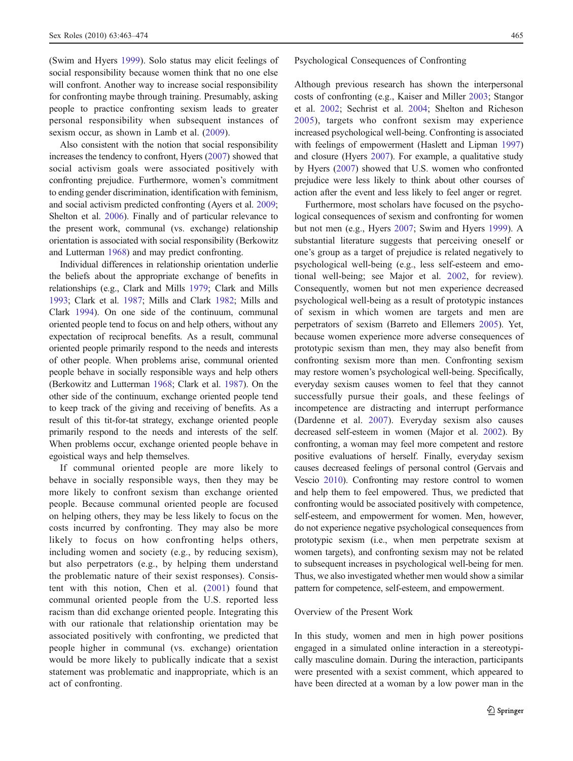(Swim and Hyers [1999\)](#page-11-0). Solo status may elicit feelings of social responsibility because women think that no one else will confront. Another way to increase social responsibility for confronting maybe through training. Presumably, asking people to practice confronting sexism leads to greater personal responsibility when subsequent instances of sexism occur, as shown in Lamb et al. ([2009\)](#page-10-0).

Also consistent with the notion that social responsibility increases the tendency to confront, Hyers [\(2007\)](#page-10-0) showed that social activism goals were associated positively with confronting prejudice. Furthermore, women's commitment to ending gender discrimination, identification with feminism, and social activism predicted confronting (Ayers et al. [2009](#page-10-0); Shelton et al. [2006\)](#page-11-0). Finally and of particular relevance to the present work, communal (vs. exchange) relationship orientation is associated with social responsibility (Berkowitz and Lutterman [1968\)](#page-10-0) and may predict confronting.

Individual differences in relationship orientation underlie the beliefs about the appropriate exchange of benefits in relationships (e.g., Clark and Mills [1979](#page-10-0); Clark and Mills [1993;](#page-10-0) Clark et al. [1987;](#page-10-0) Mills and Clark [1982](#page-11-0); Mills and Clark [1994\)](#page-11-0). On one side of the continuum, communal oriented people tend to focus on and help others, without any expectation of reciprocal benefits. As a result, communal oriented people primarily respond to the needs and interests of other people. When problems arise, communal oriented people behave in socially responsible ways and help others (Berkowitz and Lutterman [1968;](#page-10-0) Clark et al. [1987\)](#page-10-0). On the other side of the continuum, exchange oriented people tend to keep track of the giving and receiving of benefits. As a result of this tit-for-tat strategy, exchange oriented people primarily respond to the needs and interests of the self. When problems occur, exchange oriented people behave in egoistical ways and help themselves.

If communal oriented people are more likely to behave in socially responsible ways, then they may be more likely to confront sexism than exchange oriented people. Because communal oriented people are focused on helping others, they may be less likely to focus on the costs incurred by confronting. They may also be more likely to focus on how confronting helps others, including women and society (e.g., by reducing sexism), but also perpetrators (e.g., by helping them understand the problematic nature of their sexist responses). Consistent with this notion, Chen et al. ([2001](#page-10-0)) found that communal oriented people from the U.S. reported less racism than did exchange oriented people. Integrating this with our rationale that relationship orientation may be associated positively with confronting, we predicted that people higher in communal (vs. exchange) orientation would be more likely to publically indicate that a sexist statement was problematic and inappropriate, which is an act of confronting.

#### Psychological Consequences of Confronting

Although previous research has shown the interpersonal costs of confronting (e.g., Kaiser and Miller [2003;](#page-10-0) Stangor et al. [2002](#page-11-0); Sechrist et al. [2004;](#page-11-0) Shelton and Richeson [2005](#page-11-0)), targets who confront sexism may experience increased psychological well-being. Confronting is associated with feelings of empowerment (Haslett and Lipman [1997](#page-10-0)) and closure (Hyers [2007](#page-10-0)). For example, a qualitative study by Hyers ([2007](#page-10-0)) showed that U.S. women who confronted prejudice were less likely to think about other courses of action after the event and less likely to feel anger or regret.

Furthermore, most scholars have focused on the psychological consequences of sexism and confronting for women but not men (e.g., Hyers [2007;](#page-10-0) Swim and Hyers [1999\)](#page-11-0). A substantial literature suggests that perceiving oneself or one's group as a target of prejudice is related negatively to psychological well-being (e.g., less self-esteem and emotional well-being; see Major et al. [2002](#page-10-0), for review). Consequently, women but not men experience decreased psychological well-being as a result of prototypic instances of sexism in which women are targets and men are perpetrators of sexism (Barreto and Ellemers [2005](#page-10-0)). Yet, because women experience more adverse consequences of prototypic sexism than men, they may also benefit from confronting sexism more than men. Confronting sexism may restore women's psychological well-being. Specifically, everyday sexism causes women to feel that they cannot successfully pursue their goals, and these feelings of incompetence are distracting and interrupt performance (Dardenne et al. [2007\)](#page-10-0). Everyday sexism also causes decreased self-esteem in women (Major et al. [2002](#page-10-0)). By confronting, a woman may feel more competent and restore positive evaluations of herself. Finally, everyday sexism causes decreased feelings of personal control (Gervais and Vescio [2010](#page-10-0)). Confronting may restore control to women and help them to feel empowered. Thus, we predicted that confronting would be associated positively with competence, self-esteem, and empowerment for women. Men, however, do not experience negative psychological consequences from prototypic sexism (i.e., when men perpetrate sexism at women targets), and confronting sexism may not be related to subsequent increases in psychological well-being for men. Thus, we also investigated whether men would show a similar pattern for competence, self-esteem, and empowerment.

## Overview of the Present Work

In this study, women and men in high power positions engaged in a simulated online interaction in a stereotypically masculine domain. During the interaction, participants were presented with a sexist comment, which appeared to have been directed at a woman by a low power man in the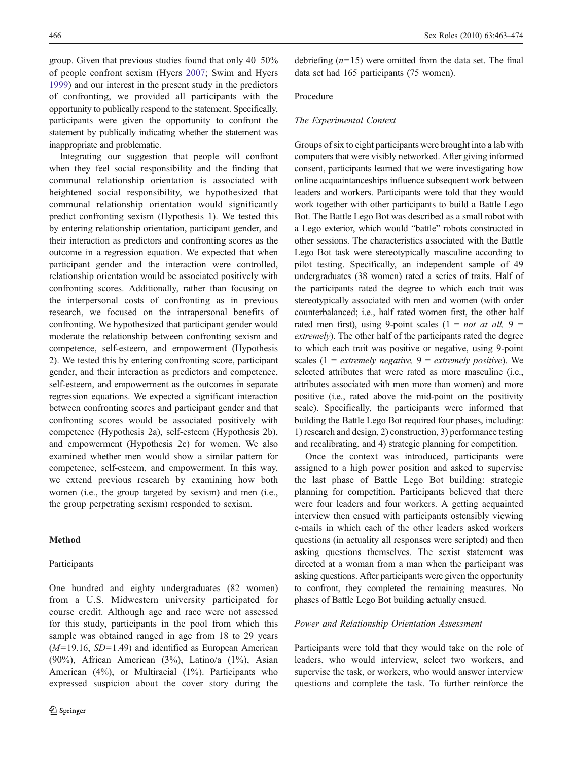group. Given that previous studies found that only 40–50% of people confront sexism (Hyers [2007](#page-10-0); Swim and Hyers [1999\)](#page-11-0) and our interest in the present study in the predictors of confronting, we provided all participants with the opportunity to publically respond to the statement. Specifically, participants were given the opportunity to confront the statement by publically indicating whether the statement was inappropriate and problematic.

Integrating our suggestion that people will confront when they feel social responsibility and the finding that communal relationship orientation is associated with heightened social responsibility, we hypothesized that communal relationship orientation would significantly predict confronting sexism (Hypothesis 1). We tested this by entering relationship orientation, participant gender, and their interaction as predictors and confronting scores as the outcome in a regression equation. We expected that when participant gender and the interaction were controlled, relationship orientation would be associated positively with confronting scores. Additionally, rather than focusing on the interpersonal costs of confronting as in previous research, we focused on the intrapersonal benefits of confronting. We hypothesized that participant gender would moderate the relationship between confronting sexism and competence, self-esteem, and empowerment (Hypothesis 2). We tested this by entering confronting score, participant gender, and their interaction as predictors and competence, self-esteem, and empowerment as the outcomes in separate regression equations. We expected a significant interaction between confronting scores and participant gender and that confronting scores would be associated positively with competence (Hypothesis 2a), self-esteem (Hypothesis 2b), and empowerment (Hypothesis 2c) for women. We also examined whether men would show a similar pattern for competence, self-esteem, and empowerment. In this way, we extend previous research by examining how both women (i.e., the group targeted by sexism) and men (i.e., the group perpetrating sexism) responded to sexism.

## Method

#### Participants

One hundred and eighty undergraduates (82 women) from a U.S. Midwestern university participated for course credit. Although age and race were not assessed for this study, participants in the pool from which this sample was obtained ranged in age from 18 to 29 years  $(M=19.16, SD=1.49)$  and identified as European American (90%), African American (3%), Latino/a (1%), Asian American (4%), or Multiracial (1%). Participants who expressed suspicion about the cover story during the

debriefing  $(n=15)$  were omitted from the data set. The final data set had 165 participants (75 women).

## Procedure

#### The Experimental Context

Groups of six to eight participants were brought into a lab with computers that were visibly networked. After giving informed consent, participants learned that we were investigating how online acquaintanceships influence subsequent work between leaders and workers. Participants were told that they would work together with other participants to build a Battle Lego Bot. The Battle Lego Bot was described as a small robot with a Lego exterior, which would "battle" robots constructed in other sessions. The characteristics associated with the Battle Lego Bot task were stereotypically masculine according to pilot testing. Specifically, an independent sample of 49 undergraduates (38 women) rated a series of traits. Half of the participants rated the degree to which each trait was stereotypically associated with men and women (with order counterbalanced; i.e., half rated women first, the other half rated men first), using 9-point scales (1 = *not at all*, 9 = extremely). The other half of the participants rated the degree to which each trait was positive or negative, using 9-point scales (1 = extremely negative, 9 = extremely positive). We selected attributes that were rated as more masculine (i.e., attributes associated with men more than women) and more positive (i.e., rated above the mid-point on the positivity scale). Specifically, the participants were informed that building the Battle Lego Bot required four phases, including: 1) research and design, 2) construction, 3) performance testing and recalibrating, and 4) strategic planning for competition.

Once the context was introduced, participants were assigned to a high power position and asked to supervise the last phase of Battle Lego Bot building: strategic planning for competition. Participants believed that there were four leaders and four workers. A getting acquainted interview then ensued with participants ostensibly viewing e-mails in which each of the other leaders asked workers questions (in actuality all responses were scripted) and then asking questions themselves. The sexist statement was directed at a woman from a man when the participant was asking questions. After participants were given the opportunity to confront, they completed the remaining measures. No phases of Battle Lego Bot building actually ensued.

## Power and Relationship Orientation Assessment

Participants were told that they would take on the role of leaders, who would interview, select two workers, and supervise the task, or workers, who would answer interview questions and complete the task. To further reinforce the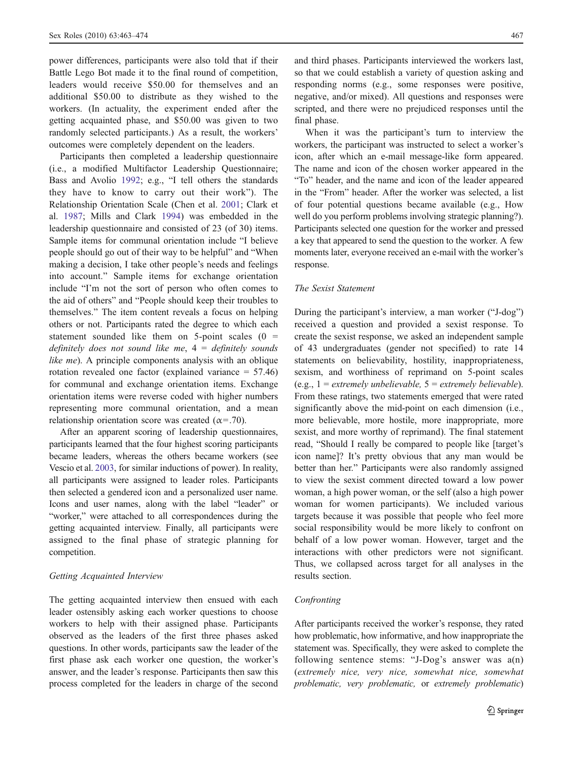power differences, participants were also told that if their Battle Lego Bot made it to the final round of competition, leaders would receive \$50.00 for themselves and an additional \$50.00 to distribute as they wished to the workers. (In actuality, the experiment ended after the getting acquainted phase, and \$50.00 was given to two randomly selected participants.) As a result, the workers' outcomes were completely dependent on the leaders.

Participants then completed a leadership questionnaire (i.e., a modified Multifactor Leadership Questionnaire; Bass and Avolio [1992;](#page-10-0) e.g., "I tell others the standards they have to know to carry out their work"). The Relationship Orientation Scale (Chen et al. [2001](#page-10-0); Clark et al. [1987](#page-10-0); Mills and Clark [1994\)](#page-11-0) was embedded in the leadership questionnaire and consisted of 23 (of 30) items. Sample items for communal orientation include "I believe people should go out of their way to be helpful" and "When making a decision, I take other people's needs and feelings into account." Sample items for exchange orientation include "I'm not the sort of person who often comes to the aid of others" and "People should keep their troubles to themselves." The item content reveals a focus on helping others or not. Participants rated the degree to which each statement sounded like them on  $5$ -point scales (0 = definitely does not sound like me,  $4 =$  definitely sounds like me). A principle components analysis with an oblique rotation revealed one factor (explained variance = 57.46) for communal and exchange orientation items. Exchange orientation items were reverse coded with higher numbers representing more communal orientation, and a mean relationship orientation score was created ( $\alpha$ =.70).

After an apparent scoring of leadership questionnaires, participants learned that the four highest scoring participants became leaders, whereas the others became workers (see Vescio et al. [2003,](#page-11-0) for similar inductions of power). In reality, all participants were assigned to leader roles. Participants then selected a gendered icon and a personalized user name. Icons and user names, along with the label "leader" or "worker," were attached to all correspondences during the getting acquainted interview. Finally, all participants were assigned to the final phase of strategic planning for competition.

# Getting Acquainted Interview

The getting acquainted interview then ensued with each leader ostensibly asking each worker questions to choose workers to help with their assigned phase. Participants observed as the leaders of the first three phases asked questions. In other words, participants saw the leader of the first phase ask each worker one question, the worker's answer, and the leader's response. Participants then saw this process completed for the leaders in charge of the second

and third phases. Participants interviewed the workers last, so that we could establish a variety of question asking and responding norms (e.g., some responses were positive, negative, and/or mixed). All questions and responses were scripted, and there were no prejudiced responses until the final phase.

When it was the participant's turn to interview the workers, the participant was instructed to select a worker's icon, after which an e-mail message-like form appeared. The name and icon of the chosen worker appeared in the "To" header, and the name and icon of the leader appeared in the "From" header. After the worker was selected, a list of four potential questions became available (e.g., How well do you perform problems involving strategic planning?). Participants selected one question for the worker and pressed a key that appeared to send the question to the worker. A few moments later, everyone received an e-mail with the worker's response.

## The Sexist Statement

During the participant's interview, a man worker ("J-dog") received a question and provided a sexist response. To create the sexist response, we asked an independent sample of 43 undergraduates (gender not specified) to rate 14 statements on believability, hostility, inappropriateness, sexism, and worthiness of reprimand on 5-point scales (e.g.,  $1 =$  extremely unbelievable,  $5 =$  extremely believable). From these ratings, two statements emerged that were rated significantly above the mid-point on each dimension (i.e., more believable, more hostile, more inappropriate, more sexist, and more worthy of reprimand). The final statement read, "Should I really be compared to people like [target's icon name]? It's pretty obvious that any man would be better than her." Participants were also randomly assigned to view the sexist comment directed toward a low power woman, a high power woman, or the self (also a high power woman for women participants). We included various targets because it was possible that people who feel more social responsibility would be more likely to confront on behalf of a low power woman. However, target and the interactions with other predictors were not significant. Thus, we collapsed across target for all analyses in the results section.

#### Confronting

After participants received the worker's response, they rated how problematic, how informative, and how inappropriate the statement was. Specifically, they were asked to complete the following sentence stems: "J-Dog's answer was a(n) (extremely nice, very nice, somewhat nice, somewhat problematic, very problematic, or extremely problematic)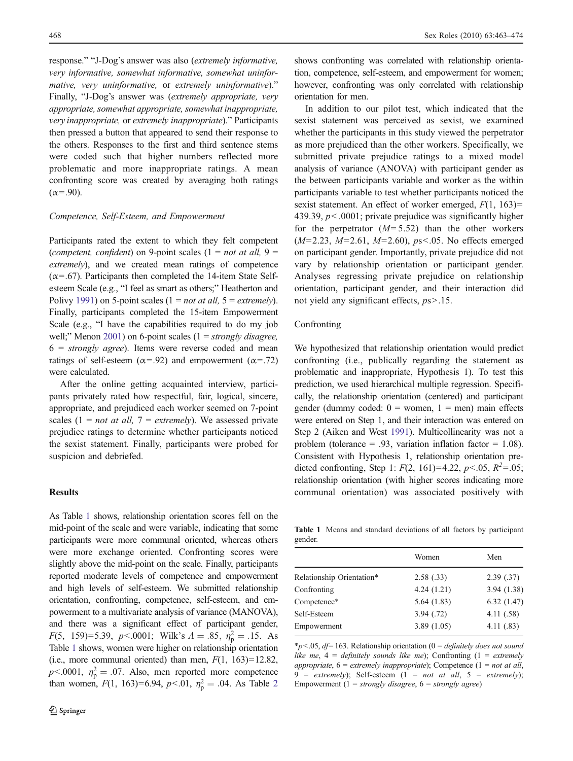response." "J-Dog's answer was also (extremely informative, very informative, somewhat informative, somewhat uninformative, very uninformative, or extremely uninformative)." Finally, "J-Dog's answer was (extremely appropriate, very appropriate, somewhat appropriate, somewhat inappropriate, very inappropriate, or extremely inappropriate)." Participants then pressed a button that appeared to send their response to the others. Responses to the first and third sentence stems were coded such that higher numbers reflected more problematic and more inappropriate ratings. A mean confronting score was created by averaging both ratings  $(\alpha = .90)$ .

## Competence, Self-Esteem, and Empowerment

Participants rated the extent to which they felt competent (competent, confident) on 9-point scales (1 = not at all, 9 = extremely), and we created mean ratings of competence  $(\alpha = .67)$ . Participants then completed the 14-item State Selfesteem Scale (e.g., "I feel as smart as others;" Heatherton and Polivy [1991](#page-10-0)) on 5-point scales (1 = *not at all*, 5 = *extremely*). Finally, participants completed the 15-item Empowerment Scale (e.g., "I have the capabilities required to do my job well;" Menon [2001\)](#page-11-0) on 6-point scales  $(1 = strongly \, disagree,$  $6 =$  strongly agree). Items were reverse coded and mean ratings of self-esteem ( $\alpha$ =.92) and empowerment ( $\alpha$ =.72) were calculated.

After the online getting acquainted interview, participants privately rated how respectful, fair, logical, sincere, appropriate, and prejudiced each worker seemed on 7-point scales  $(1 = not at all, 7 = extremely)$ . We assessed private prejudice ratings to determine whether participants noticed the sexist statement. Finally, participants were probed for suspicion and debriefed.

#### Results

As Table 1 shows, relationship orientation scores fell on the mid-point of the scale and were variable, indicating that some participants were more communal oriented, whereas others were more exchange oriented. Confronting scores were slightly above the mid-point on the scale. Finally, participants reported moderate levels of competence and empowerment and high levels of self-esteem. We submitted relationship orientation, confronting, competence, self-esteem, and empowerment to a multivariate analysis of variance (MANOVA), and there was a significant effect of participant gender,  $F(5, 159)=5.39, p<.0001;$  Wilk's  $\Lambda = .85, \eta_p^2 = .15.$  As Table 1 shows, women were higher on relationship orientation (i.e., more communal oriented) than men,  $F(1, 163)=12.82$ ,  $p < .0001$ ,  $\eta_p^2 = .07$ . Also, men reported more competence than women,  $F(1, 163)=6.94$ ,  $p<.01$ ,  $\eta_p^2=.04$  $\eta_p^2=.04$  $\eta_p^2=.04$ . As Table 2

shows confronting was correlated with relationship orientation, competence, self-esteem, and empowerment for women; however, confronting was only correlated with relationship orientation for men.

In addition to our pilot test, which indicated that the sexist statement was perceived as sexist, we examined whether the participants in this study viewed the perpetrator as more prejudiced than the other workers. Specifically, we submitted private prejudice ratings to a mixed model analysis of variance (ANOVA) with participant gender as the between participants variable and worker as the within participants variable to test whether participants noticed the sexist statement. An effect of worker emerged,  $F(1, 163)$ = 439.39,  $p < .0001$ ; private prejudice was significantly higher for the perpetrator  $(M=5.52)$  than the other workers  $(M=2.23, M=2.61, M=2.60), ps<0.05$ . No effects emerged on participant gender. Importantly, private prejudice did not vary by relationship orientation or participant gender. Analyses regressing private prejudice on relationship orientation, participant gender, and their interaction did not yield any significant effects,  $ps > .15$ .

# Confronting

We hypothesized that relationship orientation would predict confronting (i.e., publically regarding the statement as problematic and inappropriate, Hypothesis 1). To test this prediction, we used hierarchical multiple regression. Specifically, the relationship orientation (centered) and participant gender (dummy coded:  $0 =$  women,  $1 =$  men) main effects were entered on Step 1, and their interaction was entered on Step 2 (Aiken and West [1991](#page-10-0)). Multicollinearity was not a problem (tolerance  $= .93$ , variation inflation factor  $= 1.08$ ). Consistent with Hypothesis 1, relationship orientation predicted confronting, Step 1:  $F(2, 161)=4.22$ ,  $p<.05$ ,  $R^2=.05$ ; relationship orientation (with higher scores indicating more communal orientation) was associated positively with

Table 1 Means and standard deviations of all factors by participant gender.

|                           | Women      | Men        |
|---------------------------|------------|------------|
| Relationship Orientation* | 2.58(.33)  | 2.39(0.37) |
| Confronting               | 4.24(1.21) | 3.94(1.38) |
| Competence*               | 5.64(1.83) | 6.32(1.47) |
| Self-Esteem               | 3.94(0.72) | 4.11(.58)  |
| Empowerment               | 3.89(1.05) | 4.11(.83)  |

 $*p<.05$ , df=163. Relationship orientation (0 = definitely does not sound like me,  $4 =$  definitely sounds like me); Confronting (1 = extremely appropriate,  $6 =$  extremely inappropriate); Competence (1 = not at all, 9 = extremely); Self-esteem (1 = not at all, 5 = extremely); Empowerment (1 = strongly disagree,  $6 =$  strongly agree)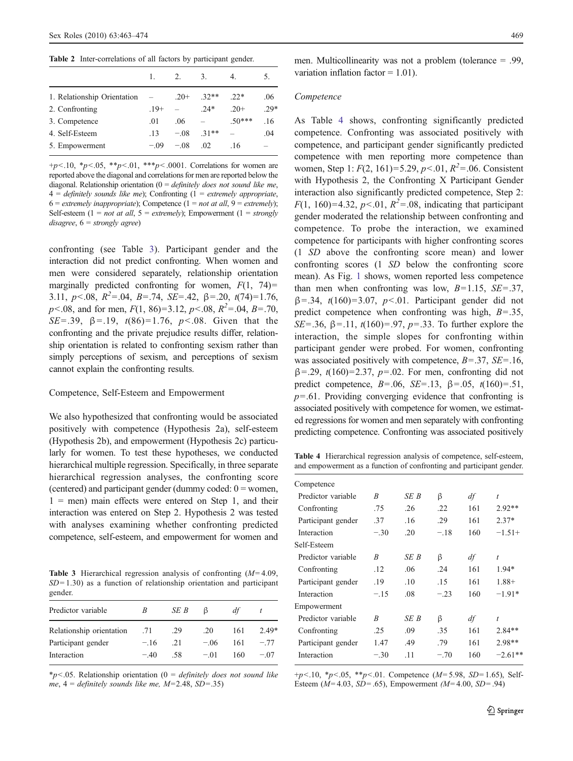<span id="page-6-0"></span>Table 2 Inter-correlations of all factors by participant gender.

|                             |         | 2.     | 3.     | 4.      |        |
|-----------------------------|---------|--------|--------|---------|--------|
| 1. Relationship Orientation |         | $.20+$ | $32**$ | $22*$   | .06    |
| 2. Confronting              | $.19+$  |        | $24*$  | $.20+$  | $.29*$ |
| 3. Competence               | .01     | .06    |        | $50***$ | .16    |
| 4. Self-Esteem              | 13      | $-08$  | $31**$ |         | .04    |
| 5. Empowerment              | $-0.09$ | $-08$  | .02    | .16     |        |

 $+p<.10$ , \*p $<.05$ , \*\*p $<.01$ , \*\*\*p $<.0001$ . Correlations for women are reported above the diagonal and correlations for men are reported below the diagonal. Relationship orientation ( $0 =$  *definitely does not sound like me*,  $4 =$  definitely sounds like me); Confronting  $(1 =$  extremely appropriate, 6 = extremely inappropriate); Competence (1 = not at all, 9 = extremely); Self-esteem (1 = *not at all*, 5 = *extremely*); Empowerment (1 = *strongly*)  $disagree, 6 = strongly agree)$ 

confronting (see Table 3). Participant gender and the interaction did not predict confronting. When women and men were considered separately, relationship orientation marginally predicted confronting for women,  $F(1, 74)$ = 3.11,  $p < 0.08$ ,  $R^2 = 0.04$ ,  $B = 0.74$ ,  $SE = 0.42$ ,  $\beta = 0.20$ ,  $t(74) = 1.76$ ,  $p<.08$ , and for men,  $F(1, 86)=3.12$ ,  $p<.08$ ,  $R<sup>2</sup>=.04$ ,  $B=.70$ , SE=.39,  $\beta$ =.19,  $t(86)$ =1.76,  $p<0.08$ . Given that the confronting and the private prejudice results differ, relationship orientation is related to confronting sexism rather than simply perceptions of sexism, and perceptions of sexism cannot explain the confronting results.

# Competence, Self-Esteem and Empowerment

We also hypothesized that confronting would be associated positively with competence (Hypothesis 2a), self-esteem (Hypothesis 2b), and empowerment (Hypothesis 2c) particularly for women. To test these hypotheses, we conducted hierarchical multiple regression. Specifically, in three separate hierarchical regression analyses, the confronting score (centered) and participant gender (dummy coded:  $0 =$  women,  $1 =$  men) main effects were entered on Step 1, and their interaction was entered on Step 2. Hypothesis 2 was tested with analyses examining whether confronting predicted competence, self-esteem, and empowerment for women and

Table 3 Hierarchical regression analysis of confronting  $(M=4.09,$  $SD = 1.30$ ) as a function of relationship orientation and participant gender.

| Predictor variable       |        | SE B | ß      | df  |         |
|--------------------------|--------|------|--------|-----|---------|
| Relationship orientation | .71    | .29  | .20    | 161 | $2.49*$ |
| Participant gender       | $-.16$ | -21  | $-06$  | 161 | $-77$   |
| Interaction              | $-40$  | -58  | $-.01$ | 160 | $-07$   |

 $*p$ <.05. Relationship orientation (0 = *definitely does not sound like* me,  $4 =$  definitely sounds like me,  $M=2.48$ ,  $SD=.35$ )

men. Multicollinearity was not a problem (tolerance = .99, variation inflation factor  $= 1.01$ ).

#### Competence

As Table 4 shows, confronting significantly predicted competence. Confronting was associated positively with competence, and participant gender significantly predicted competence with men reporting more competence than women, Step 1:  $F(2, 161)=5.29, p<0.01, R^2=.06$ . Consistent with Hypothesis 2, the Confronting X Participant Gender interaction also significantly predicted competence, Step 2:  $F(1, 160)=4.32, p<.01, R^2=.08$ , indicating that participant gender moderated the relationship between confronting and competence. To probe the interaction, we examined competence for participants with higher confronting scores (1 SD above the confronting score mean) and lower confronting scores (1 SD below the confronting score mean). As Fig. [1](#page-7-0) shows, women reported less competence than men when confronting was low,  $B=1.15$ ,  $SE=.37$ ,  $\beta$ =.34, t(160)=3.07, p<.01. Participant gender did not predict competence when confronting was high,  $B = 0.35$ , SE=.36,  $\beta$ =.11,  $t(160)$ =.97,  $p=$ .33. To further explore the interaction, the simple slopes for confronting within participant gender were probed. For women, confronting was associated positively with competence,  $B = 0.37$ ,  $SE = 0.16$ ,  $β = .29, t(160) = 2.37, p = .02$ . For men, confronting did not predict competence,  $B = .06$ ,  $SE = .13$ ,  $\beta = .05$ ,  $t(160) = .51$ ,  $p=61$ . Providing converging evidence that confronting is associated positively with competence for women, we estimated regressions for women and men separately with confronting predicting competence. Confronting was associated positively

Table 4 Hierarchical regression analysis of competence, self-esteem, and empowerment as a function of confronting and participant gender.

| Competence         |        |      |        |     |           |
|--------------------|--------|------|--------|-----|-----------|
| Predictor variable | R      | SE B | ß      | df  | $\dot{t}$ |
| Confronting        | .75    | .26  | .22    | 161 | $2.92**$  |
| Participant gender | .37    | .16  | .29    | 161 | $2.37*$   |
| Interaction        | $-.30$ | .20  | $-.18$ | 160 | $-1.51+$  |
| Self-Esteem        |        |      |        |     |           |
| Predictor variable | R      | SE B | ß      | df  | t         |
| Confronting        | .12    | .06  | .24    | 161 | $1.94*$   |
| Participant gender | .19    | .10  | .15    | 161 | $1.88+$   |
| Interaction        | $-.15$ | .08  | $-.23$ | 160 | $-1.91*$  |
| Empowerment        |        |      |        |     |           |
| Predictor variable | R      | SE B | ß      | df  | $\dot{t}$ |
| Confronting        | .25    | .09  | .35    | 161 | $2.84**$  |
| Participant gender | 1.47   | .49  | .79    | 161 | 2.98**    |
| Interaction        | $-.30$ | .11  | $-.70$ | 160 | $-2.61**$ |
|                    |        |      |        |     |           |

 $+p<.10$ ,  ${}^{\ast}p<.05$ ,  ${}^{\ast}{}^{\ast}p<.01$ . Competence (*M*=5.98, *SD*=1.65), Self-Esteem ( $M=4.03$ ,  $SD=.65$ ), Empowerment ( $M=4.00$ ,  $SD=.94$ )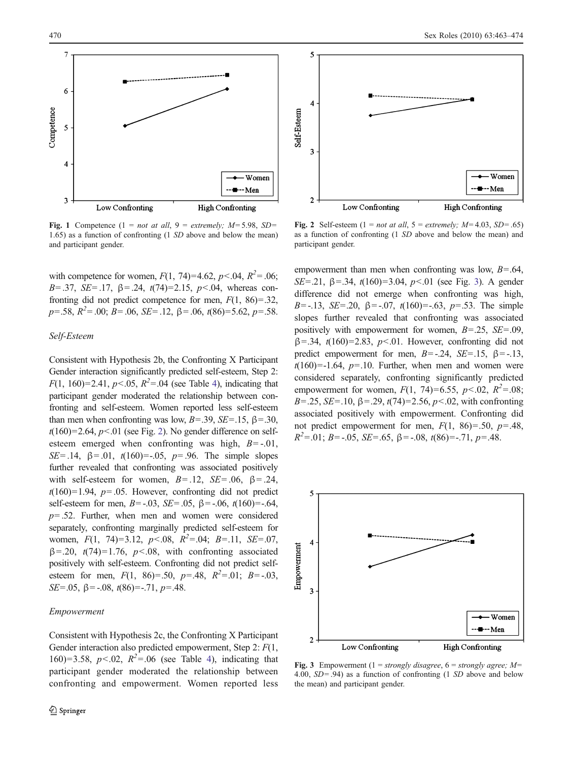<span id="page-7-0"></span>

Fig. 1 Competence (1 = not at all, 9 = extremely;  $M=5.98$ , SD= 1.65) as a function of confronting (1 SD above and below the mean) and participant gender.

with competence for women,  $F(1, 74)=4.62$ ,  $p<.04$ ,  $R^2=.06$ ; B=.37, SE=.17,  $\beta$ =.24,  $t(74)=2.15$ ,  $p<0.04$ , whereas confronting did not predict competence for men,  $F(1, 86) = .32$ ,  $p = .58$ ,  $R^2 = .00$ ;  $B = .06$ ,  $SE = .12$ ,  $\beta = .06$ ,  $t(86) = 5.62$ ,  $p = .58$ .

# Self-Esteem

Consistent with Hypothesis 2b, the Confronting X Participant Gender interaction significantly predicted self-esteem, Step 2:  $F(1, 160)=2.41, p<0.05, R<sup>2</sup>=0.04$  $F(1, 160)=2.41, p<0.05, R<sup>2</sup>=0.04$  $F(1, 160)=2.41, p<0.05, R<sup>2</sup>=0.04$  (see Table 4), indicating that participant gender moderated the relationship between confronting and self-esteem. Women reported less self-esteem than men when confronting was low,  $B = .39$ ,  $SE = .15$ ,  $\beta = .30$ ,  $t(160)=2.64$ ,  $p<.01$  (see Fig. 2). No gender difference on selfesteem emerged when confronting was high,  $B = -0.01$ , SE=.14,  $\beta$ =.01,  $t(160)$ =-.05,  $p$ =.96. The simple slopes further revealed that confronting was associated positively with self-esteem for women,  $B = .12$ ,  $SE = .06$ ,  $\beta = .24$ ,  $t(160)=1.94$ ,  $p=.05$ . However, confronting did not predict self-esteem for men,  $B = -0.03$ ,  $SE = 0.05$ ,  $\beta = -0.06$ ,  $t(160) = -0.64$ ,  $p = .52$ . Further, when men and women were considered separately, confronting marginally predicted self-esteem for women,  $F(1, 74)=3.12$ ,  $p<.08$ ,  $R^2=.04$ ;  $B=.11$ ,  $SE=.07$ ,  $\beta$ =.20, t(74)=1.76, p<.08, with confronting associated positively with self-esteem. Confronting did not predict selfesteem for men,  $F(1, 86)=0.50$ ,  $p=.48$ ,  $R^2=0.01$ ;  $B=-0.03$ , SE=.05,  $\beta$ = -.08,  $t(86)$ =-.71,  $p$ =.48.

#### Empowerment



Fig. 2 Self-esteem (1 = not at all, 5 = extremely;  $M=4.03$ ,  $SD=.65$ ) as a function of confronting (1 SD above and below the mean) and participant gender.

empowerment than men when confronting was low,  $B = .64$ , SE=.21,  $\beta$ =.34,  $t(160)=3.04$ ,  $p<.01$  (see Fig. 3). A gender difference did not emerge when confronting was high, B=-.13, SE=.20,  $\beta$ =-.07,  $t(160)$ =-.63,  $p=0.53$ . The simple slopes further revealed that confronting was associated positively with empowerment for women,  $B = .25$ ,  $SE = .09$ ,  $\beta$ =.34, t(160)=2.83, p<.01. However, confronting did not predict empowerment for men,  $B = -0.24$ ,  $SE = -0.15$ ,  $\beta = -0.13$ ,  $t(160)$ =-1.64,  $p$ =.10. Further, when men and women were considered separately, confronting significantly predicted empowerment for women,  $F(1, 74)=6.55$ ,  $p<.02$ ,  $R^2=.08$ ; B=.25, SE=.10,  $\beta$ =.29,  $t(74)$ =2.56,  $p<.02$ , with confronting associated positively with empowerment. Confronting did not predict empowerment for men,  $F(1, 86)=0.50$ ,  $p=.48$ ,  $R^2 = 0.01$ ; B = -.05, SE = .65,  $\beta$  = -.08, t(86) = -.71, p = .48.



Fig. 3 Empowerment (1 = strongly disagree, 6 = strongly agree;  $M=$ 4.00, SD=.94) as a function of confronting (1 SD above and below the mean) and participant gender.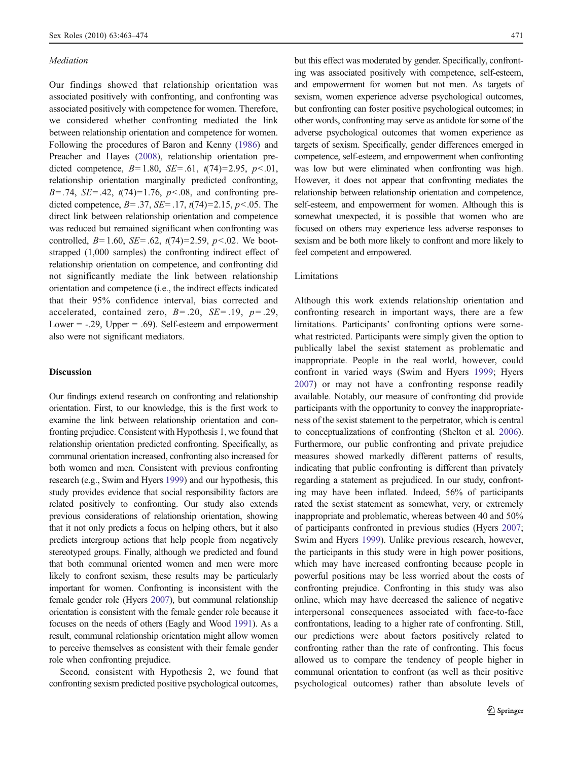#### Mediation

Our findings showed that relationship orientation was associated positively with confronting, and confronting was associated positively with competence for women. Therefore, we considered whether confronting mediated the link between relationship orientation and competence for women. Following the procedures of Baron and Kenny ([1986](#page-10-0)) and Preacher and Hayes ([2008](#page-11-0)), relationship orientation predicted competence,  $B=1.80$ ,  $SE=.61$ ,  $t(74)=2.95$ ,  $p<.01$ , relationship orientation marginally predicted confronting,  $B = .74$ ,  $SE = .42$ ,  $t(74)=1.76$ ,  $p < .08$ , and confronting predicted competence,  $B = .37$ ,  $SE = .17$ ,  $t(74)=2.15$ ,  $p < .05$ . The direct link between relationship orientation and competence was reduced but remained significant when confronting was controlled,  $B=1.60$ ,  $SE=.62$ ,  $t(74)=2.59$ ,  $p<.02$ . We bootstrapped (1,000 samples) the confronting indirect effect of relationship orientation on competence, and confronting did not significantly mediate the link between relationship orientation and competence (i.e., the indirect effects indicated that their 95% confidence interval, bias corrected and accelerated, contained zero,  $B = .20$ ,  $SE = .19$ ,  $p = .29$ , Lower =  $-0.29$ , Upper =  $0.69$ . Self-esteem and empowerment also were not significant mediators.

# Discussion

Our findings extend research on confronting and relationship orientation. First, to our knowledge, this is the first work to examine the link between relationship orientation and confronting prejudice. Consistent with Hypothesis 1, we found that relationship orientation predicted confronting. Specifically, as communal orientation increased, confronting also increased for both women and men. Consistent with previous confronting research (e.g., Swim and Hyers [1999](#page-11-0)) and our hypothesis, this study provides evidence that social responsibility factors are related positively to confronting. Our study also extends previous considerations of relationship orientation, showing that it not only predicts a focus on helping others, but it also predicts intergroup actions that help people from negatively stereotyped groups. Finally, although we predicted and found that both communal oriented women and men were more likely to confront sexism, these results may be particularly important for women. Confronting is inconsistent with the female gender role (Hyers [2007](#page-10-0)), but communal relationship orientation is consistent with the female gender role because it focuses on the needs of others (Eagly and Wood [1991](#page-10-0)). As a result, communal relationship orientation might allow women to perceive themselves as consistent with their female gender role when confronting prejudice.

Second, consistent with Hypothesis 2, we found that confronting sexism predicted positive psychological outcomes,

but this effect was moderated by gender. Specifically, confronting was associated positively with competence, self-esteem, and empowerment for women but not men. As targets of sexism, women experience adverse psychological outcomes, but confronting can foster positive psychological outcomes; in other words, confronting may serve as antidote for some of the adverse psychological outcomes that women experience as targets of sexism. Specifically, gender differences emerged in competence, self-esteem, and empowerment when confronting was low but were eliminated when confronting was high. However, it does not appear that confronting mediates the relationship between relationship orientation and competence, self-esteem, and empowerment for women. Although this is somewhat unexpected, it is possible that women who are focused on others may experience less adverse responses to sexism and be both more likely to confront and more likely to feel competent and empowered.

## Limitations

Although this work extends relationship orientation and confronting research in important ways, there are a few limitations. Participants' confronting options were somewhat restricted. Participants were simply given the option to publically label the sexist statement as problematic and inappropriate. People in the real world, however, could confront in varied ways (Swim and Hyers [1999;](#page-11-0) Hyers [2007](#page-10-0)) or may not have a confronting response readily available. Notably, our measure of confronting did provide participants with the opportunity to convey the inappropriateness of the sexist statement to the perpetrator, which is central to conceptualizations of confronting (Shelton et al. [2006\)](#page-11-0). Furthermore, our public confronting and private prejudice measures showed markedly different patterns of results, indicating that public confronting is different than privately regarding a statement as prejudiced. In our study, confronting may have been inflated. Indeed, 56% of participants rated the sexist statement as somewhat, very, or extremely inappropriate and problematic, whereas between 40 and 50% of participants confronted in previous studies (Hyers [2007;](#page-10-0) Swim and Hyers [1999\)](#page-11-0). Unlike previous research, however, the participants in this study were in high power positions, which may have increased confronting because people in powerful positions may be less worried about the costs of confronting prejudice. Confronting in this study was also online, which may have decreased the salience of negative interpersonal consequences associated with face-to-face confrontations, leading to a higher rate of confronting. Still, our predictions were about factors positively related to confronting rather than the rate of confronting. This focus allowed us to compare the tendency of people higher in communal orientation to confront (as well as their positive psychological outcomes) rather than absolute levels of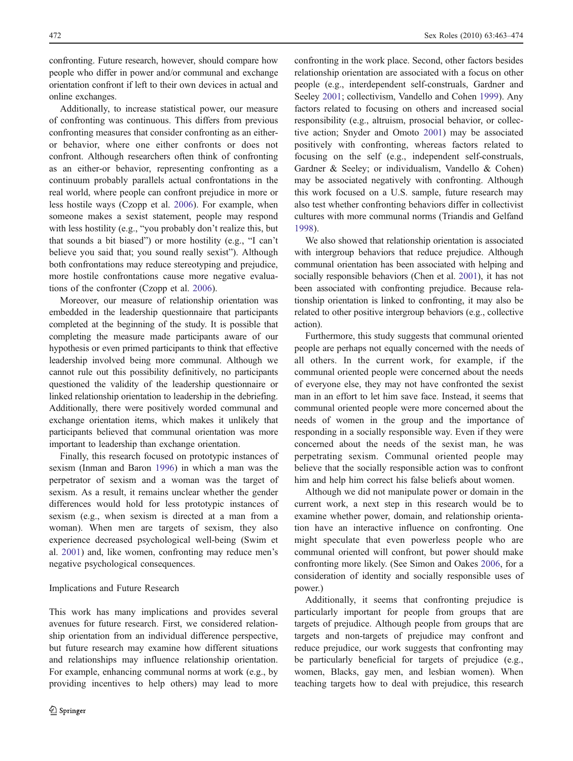confronting. Future research, however, should compare how people who differ in power and/or communal and exchange orientation confront if left to their own devices in actual and online exchanges.

Additionally, to increase statistical power, our measure of confronting was continuous. This differs from previous confronting measures that consider confronting as an eitheror behavior, where one either confronts or does not confront. Although researchers often think of confronting as an either-or behavior, representing confronting as a continuum probably parallels actual confrontations in the real world, where people can confront prejudice in more or less hostile ways (Czopp et al. [2006\)](#page-10-0). For example, when someone makes a sexist statement, people may respond with less hostility (e.g., "you probably don't realize this, but that sounds a bit biased") or more hostility (e.g., "I can't believe you said that; you sound really sexist"). Although both confrontations may reduce stereotyping and prejudice, more hostile confrontations cause more negative evaluations of the confronter (Czopp et al. [2006](#page-10-0)).

Moreover, our measure of relationship orientation was embedded in the leadership questionnaire that participants completed at the beginning of the study. It is possible that completing the measure made participants aware of our hypothesis or even primed participants to think that effective leadership involved being more communal. Although we cannot rule out this possibility definitively, no participants questioned the validity of the leadership questionnaire or linked relationship orientation to leadership in the debriefing. Additionally, there were positively worded communal and exchange orientation items, which makes it unlikely that participants believed that communal orientation was more important to leadership than exchange orientation.

Finally, this research focused on prototypic instances of sexism (Inman and Baron [1996](#page-10-0)) in which a man was the perpetrator of sexism and a woman was the target of sexism. As a result, it remains unclear whether the gender differences would hold for less prototypic instances of sexism (e.g., when sexism is directed at a man from a woman). When men are targets of sexism, they also experience decreased psychological well-being (Swim et al. [2001](#page-11-0)) and, like women, confronting may reduce men's negative psychological consequences.

#### Implications and Future Research

This work has many implications and provides several avenues for future research. First, we considered relationship orientation from an individual difference perspective, but future research may examine how different situations and relationships may influence relationship orientation. For example, enhancing communal norms at work (e.g., by providing incentives to help others) may lead to more confronting in the work place. Second, other factors besides relationship orientation are associated with a focus on other people (e.g., interdependent self-construals, Gardner and Seeley [2001](#page-10-0); collectivism, Vandello and Cohen [1999\)](#page-11-0). Any factors related to focusing on others and increased social responsibility (e.g., altruism, prosocial behavior, or collective action; Snyder and Omoto [2001](#page-11-0)) may be associated positively with confronting, whereas factors related to focusing on the self (e.g., independent self-construals, Gardner & Seeley; or individualism, Vandello & Cohen) may be associated negatively with confronting. Although this work focused on a U.S. sample, future research may also test whether confronting behaviors differ in collectivist cultures with more communal norms (Triandis and Gelfand [1998](#page-11-0)).

We also showed that relationship orientation is associated with intergroup behaviors that reduce prejudice. Although communal orientation has been associated with helping and socially responsible behaviors (Chen et al. [2001\)](#page-10-0), it has not been associated with confronting prejudice. Because relationship orientation is linked to confronting, it may also be related to other positive intergroup behaviors (e.g., collective action).

Furthermore, this study suggests that communal oriented people are perhaps not equally concerned with the needs of all others. In the current work, for example, if the communal oriented people were concerned about the needs of everyone else, they may not have confronted the sexist man in an effort to let him save face. Instead, it seems that communal oriented people were more concerned about the needs of women in the group and the importance of responding in a socially responsible way. Even if they were concerned about the needs of the sexist man, he was perpetrating sexism. Communal oriented people may believe that the socially responsible action was to confront him and help him correct his false beliefs about women.

Although we did not manipulate power or domain in the current work, a next step in this research would be to examine whether power, domain, and relationship orientation have an interactive influence on confronting. One might speculate that even powerless people who are communal oriented will confront, but power should make confronting more likely. (See Simon and Oakes [2006](#page-11-0), for a consideration of identity and socially responsible uses of power.)

Additionally, it seems that confronting prejudice is particularly important for people from groups that are targets of prejudice. Although people from groups that are targets and non-targets of prejudice may confront and reduce prejudice, our work suggests that confronting may be particularly beneficial for targets of prejudice (e.g., women, Blacks, gay men, and lesbian women). When teaching targets how to deal with prejudice, this research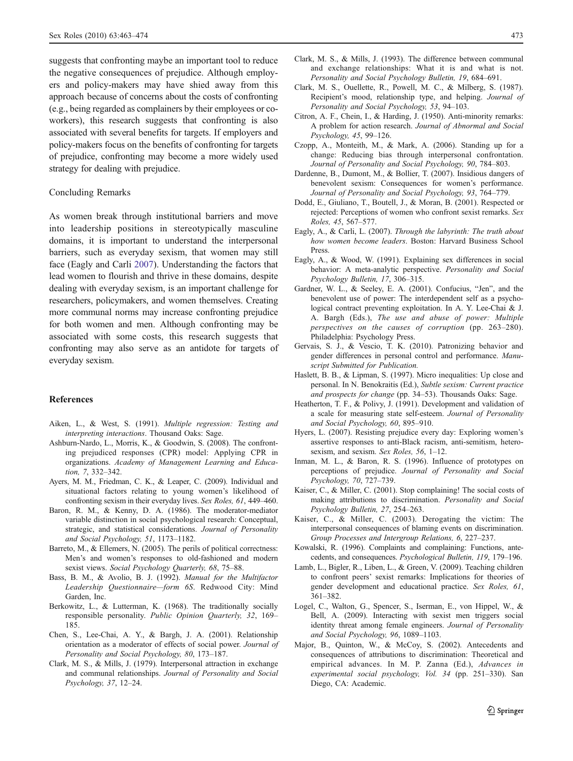<span id="page-10-0"></span>suggests that confronting maybe an important tool to reduce the negative consequences of prejudice. Although employers and policy-makers may have shied away from this approach because of concerns about the costs of confronting (e.g., being regarded as complainers by their employees or coworkers), this research suggests that confronting is also associated with several benefits for targets. If employers and policy-makers focus on the benefits of confronting for targets of prejudice, confronting may become a more widely used strategy for dealing with prejudice.

#### Concluding Remarks

As women break through institutional barriers and move into leadership positions in stereotypically masculine domains, it is important to understand the interpersonal barriers, such as everyday sexism, that women may still face (Eagly and Carli 2007). Understanding the factors that lead women to flourish and thrive in these domains, despite dealing with everyday sexism, is an important challenge for researchers, policymakers, and women themselves. Creating more communal norms may increase confronting prejudice for both women and men. Although confronting may be associated with some costs, this research suggests that confronting may also serve as an antidote for targets of everyday sexism.

#### References

- Aiken, L., & West, S. (1991). Multiple regression: Testing and interpreting interactions. Thousand Oaks: Sage.
- Ashburn-Nardo, L., Morris, K., & Goodwin, S. (2008). The confronting prejudiced responses (CPR) model: Applying CPR in organizations. Academy of Management Learning and Education, 7, 332–342.
- Ayers, M. M., Friedman, C. K., & Leaper, C. (2009). Individual and situational factors relating to young women's likelihood of confronting sexism in their everyday lives. Sex Roles, 61, 449–460.
- Baron, R. M., & Kenny, D. A. (1986). The moderator-mediator variable distinction in social psychological research: Conceptual, strategic, and statistical considerations. Journal of Personality and Social Psychology, 51, 1173–1182.
- Barreto, M., & Ellemers, N. (2005). The perils of political correctness: Men's and women's responses to old-fashioned and modern sexist views. Social Psychology Quarterly, 68, 75-88.
- Bass, B. M., & Avolio, B. J. (1992). Manual for the Multifactor Leadership Questionnaire—form 6S. Redwood City: Mind Garden, Inc.
- Berkowitz, L., & Lutterman, K. (1968). The traditionally socially responsible personality. Public Opinion Quarterly, 32, 169– 185.
- Chen, S., Lee-Chai, A. Y., & Bargh, J. A. (2001). Relationship orientation as a moderator of effects of social power. Journal of Personality and Social Psychology, 80, 173–187.
- Clark, M. S., & Mills, J. (1979). Interpersonal attraction in exchange and communal relationships. Journal of Personality and Social Psychology, 37, 12–24.
- Clark, M. S., & Mills, J. (1993). The difference between communal and exchange relationships: What it is and what is not. Personality and Social Psychology Bulletin, 19, 684–691.
- Clark, M. S., Ouellette, R., Powell, M. C., & Milberg, S. (1987). Recipient's mood, relationship type, and helping. Journal of Personality and Social Psychology, 53, 94–103.
- Citron, A. F., Chein, I., & Harding, J. (1950). Anti-minority remarks: A problem for action research. Journal of Abnormal and Social Psychology, 45, 99–126.
- Czopp, A., Monteith, M., & Mark, A. (2006). Standing up for a change: Reducing bias through interpersonal confrontation. Journal of Personality and Social Psychology, 90, 784–803.
- Dardenne, B., Dumont, M., & Bollier, T. (2007). Insidious dangers of benevolent sexism: Consequences for women's performance. Journal of Personality and Social Psychology, 93, 764–779.
- Dodd, E., Giuliano, T., Boutell, J., & Moran, B. (2001). Respected or rejected: Perceptions of women who confront sexist remarks. Sex Roles, 45, 567–577.
- Eagly, A., & Carli, L. (2007). Through the labyrinth: The truth about how women become leaders. Boston: Harvard Business School Press.
- Eagly, A., & Wood, W. (1991). Explaining sex differences in social behavior: A meta-analytic perspective. Personality and Social Psychology Bulletin, 17, 306–315.
- Gardner, W. L., & Seeley, E. A. (2001). Confucius, "Jen", and the benevolent use of power: The interdependent self as a psychological contract preventing exploitation. In A. Y. Lee-Chai & J. A. Bargh (Eds.), The use and abuse of power: Multiple perspectives on the causes of corruption (pp. 263–280). Philadelphia: Psychology Press.
- Gervais, S. J., & Vescio, T. K. (2010). Patronizing behavior and gender differences in personal control and performance. Manuscript Submitted for Publication.
- Haslett, B. B., & Lipman, S. (1997). Micro inequalities: Up close and personal. In N. Benokraitis (Ed.), Subtle sexism: Current practice and prospects for change (pp. 34–53). Thousands Oaks: Sage.
- Heatherton, T. F., & Polivy, J. (1991). Development and validation of a scale for measuring state self-esteem. Journal of Personality and Social Psychology, 60, 895–910.
- Hyers, L. (2007). Resisting prejudice every day: Exploring women's assertive responses to anti-Black racism, anti-semitism, heterosexism, and sexism. Sex Roles, 56, 1–12.
- Inman, M. L., & Baron, R. S. (1996). Influence of prototypes on perceptions of prejudice. Journal of Personality and Social Psychology, 70, 727–739.
- Kaiser, C., & Miller, C. (2001). Stop complaining! The social costs of making attributions to discrimination. Personality and Social Psychology Bulletin, 27, 254–263.
- Kaiser, C., & Miller, C. (2003). Derogating the victim: The interpersonal consequences of blaming events on discrimination. Group Processes and Intergroup Relations, 6, 227–237.
- Kowalski, R. (1996). Complaints and complaining: Functions, antecedents, and consequences. Psychological Bulletin, 119, 179–196.
- Lamb, L., Bigler, R., Liben, L., & Green, V. (2009). Teaching children to confront peers' sexist remarks: Implications for theories of gender development and educational practice. Sex Roles, 61, 361–382.
- Logel, C., Walton, G., Spencer, S., Iserman, E., von Hippel, W., & Bell, A. (2009). Interacting with sexist men triggers social identity threat among female engineers. Journal of Personality and Social Psychology, 96, 1089–1103.
- Major, B., Quinton, W., & McCoy, S. (2002). Antecedents and consequences of attributions to discrimination: Theoretical and empirical advances. In M. P. Zanna (Ed.), Advances in experimental social psychology, Vol. 34 (pp. 251–330). San Diego, CA: Academic.